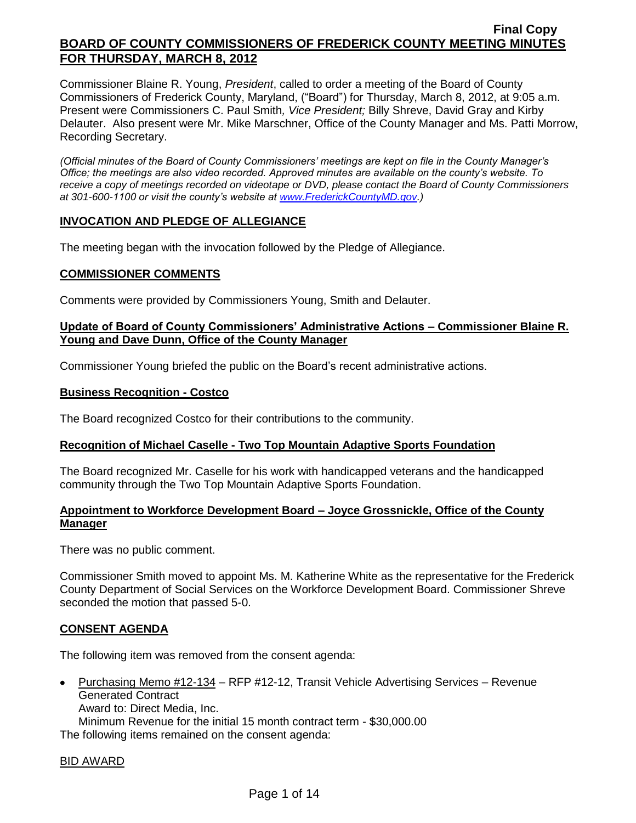Commissioner Blaine R. Young, *President*, called to order a meeting of the Board of County Commissioners of Frederick County, Maryland, ("Board") for Thursday, March 8, 2012, at 9:05 a.m. Present were Commissioners C. Paul Smith*, Vice President;* Billy Shreve, David Gray and Kirby Delauter. Also present were Mr. Mike Marschner, Office of the County Manager and Ms. Patti Morrow, Recording Secretary.

*(Official minutes of the Board of County Commissioners' meetings are kept on file in the County Manager's Office; the meetings are also video recorded. Approved minutes are available on the county's website. To receive a copy of meetings recorded on videotape or DVD, please contact the Board of County Commissioners at 301-600-1100 or visit the county's website at [www.FrederickCountyMD.gov.](http://www.frederickcountymd.gov/))*

### **INVOCATION AND PLEDGE OF ALLEGIANCE**

The meeting began with the invocation followed by the Pledge of Allegiance.

#### **COMMISSIONER COMMENTS**

Comments were provided by Commissioners Young, Smith and Delauter.

#### **Update of Board of County Commissioners' Administrative Actions – Commissioner Blaine R. Young and Dave Dunn, Office of the County Manager**

Commissioner Young briefed the public on the Board's recent administrative actions.

#### **Business Recognition - Costco**

The Board recognized Costco for their contributions to the community.

### **Recognition of Michael Caselle - Two Top Mountain Adaptive Sports Foundation**

The Board recognized Mr. Caselle for his work with handicapped veterans and the handicapped community through the Two Top Mountain Adaptive Sports Foundation.

#### **Appointment to Workforce Development Board – Joyce Grossnickle, Office of the County Manager**

There was no public comment.

Commissioner Smith moved to appoint Ms. M. Katherine White as the representative for the Frederick County Department of Social Services on the Workforce Development Board. Commissioner Shreve seconded the motion that passed 5-0.

### **CONSENT AGENDA**

The following item was removed from the consent agenda:

Purchasing Memo #12-134 – RFP #12-12, Transit Vehicle Advertising Services – Revenue  $\bullet$ Generated Contract Award to: Direct Media, Inc. Minimum Revenue for the initial 15 month contract term - \$30,000.00

The following items remained on the consent agenda:

### BID AWARD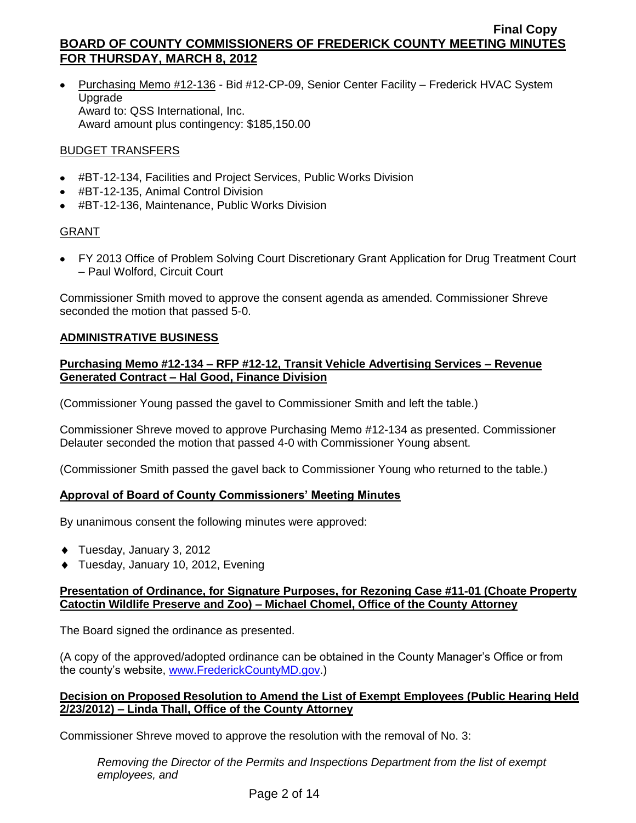• Purchasing Memo #12-136 - Bid #12-CP-09, Senior Center Facility – Frederick HVAC System Upgrade Award to: QSS International, Inc. Award amount plus contingency: \$185,150.00

### BUDGET TRANSFERS

- #BT-12-134, Facilities and Project Services, Public Works Division
- #BT-12-135, Animal Control Division
- #BT-12-136, Maintenance, Public Works Division

## GRANT

FY 2013 Office of Problem Solving Court Discretionary Grant Application for Drug Treatment Court – Paul Wolford, Circuit Court

Commissioner Smith moved to approve the consent agenda as amended. Commissioner Shreve seconded the motion that passed 5-0.

## **ADMINISTRATIVE BUSINESS**

### **Purchasing Memo #12-134 – RFP #12-12, Transit Vehicle Advertising Services – Revenue Generated Contract – Hal Good, Finance Division**

(Commissioner Young passed the gavel to Commissioner Smith and left the table.)

Commissioner Shreve moved to approve Purchasing Memo #12-134 as presented. Commissioner Delauter seconded the motion that passed 4-0 with Commissioner Young absent.

(Commissioner Smith passed the gavel back to Commissioner Young who returned to the table.)

### **Approval of Board of County Commissioners' Meeting Minutes**

By unanimous consent the following minutes were approved:

- Tuesday, January 3, 2012
- ◆ Tuesday, January 10, 2012, Evening

#### **Presentation of Ordinance, for Signature Purposes, for Rezoning Case #11-01 (Choate Property Catoctin Wildlife Preserve and Zoo) – Michael Chomel, Office of the County Attorney**

The Board signed the ordinance as presented.

(A copy of the approved/adopted ordinance can be obtained in the County Manager's Office or from the county's website, [www.FrederickCountyMD.gov.](http://www.frederickcountymd.gov/))

### **Decision on Proposed Resolution to Amend the List of Exempt Employees (Public Hearing Held 2/23/2012) – Linda Thall, Office of the County Attorney**

Commissioner Shreve moved to approve the resolution with the removal of No. 3:

*Removing the Director of the Permits and Inspections Department from the list of exempt employees, and*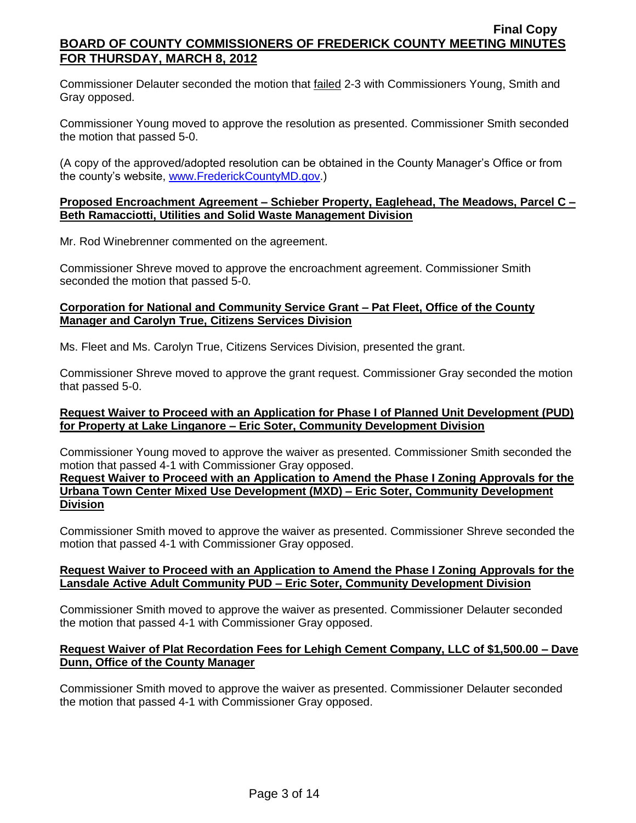Commissioner Delauter seconded the motion that failed 2-3 with Commissioners Young, Smith and Gray opposed.

Commissioner Young moved to approve the resolution as presented. Commissioner Smith seconded the motion that passed 5-0.

(A copy of the approved/adopted resolution can be obtained in the County Manager's Office or from the county's website, [www.FrederickCountyMD.gov.](http://www.frederickcountymd.gov/))

#### **Proposed Encroachment Agreement – Schieber Property, Eaglehead, The Meadows, Parcel C – Beth Ramacciotti, Utilities and Solid Waste Management Division**

Mr. Rod Winebrenner commented on the agreement.

Commissioner Shreve moved to approve the encroachment agreement. Commissioner Smith seconded the motion that passed 5-0.

#### **Corporation for National and Community Service Grant – Pat Fleet, Office of the County Manager and Carolyn True, Citizens Services Division**

Ms. Fleet and Ms. Carolyn True, Citizens Services Division, presented the grant.

Commissioner Shreve moved to approve the grant request. Commissioner Gray seconded the motion that passed 5-0.

### **Request Waiver to Proceed with an Application for Phase I of Planned Unit Development (PUD) for Property at Lake Linganore – Eric Soter, Community Development Division**

Commissioner Young moved to approve the waiver as presented. Commissioner Smith seconded the motion that passed 4-1 with Commissioner Gray opposed.

**Request Waiver to Proceed with an Application to Amend the Phase I Zoning Approvals for the Urbana Town Center Mixed Use Development (MXD) – Eric Soter, Community Development Division**

Commissioner Smith moved to approve the waiver as presented. Commissioner Shreve seconded the motion that passed 4-1 with Commissioner Gray opposed.

#### **Request Waiver to Proceed with an Application to Amend the Phase I Zoning Approvals for the Lansdale Active Adult Community PUD – Eric Soter, Community Development Division**

Commissioner Smith moved to approve the waiver as presented. Commissioner Delauter seconded the motion that passed 4-1 with Commissioner Gray opposed.

#### **Request Waiver of Plat Recordation Fees for Lehigh Cement Company, LLC of \$1,500.00 – Dave Dunn, Office of the County Manager**

Commissioner Smith moved to approve the waiver as presented. Commissioner Delauter seconded the motion that passed 4-1 with Commissioner Gray opposed.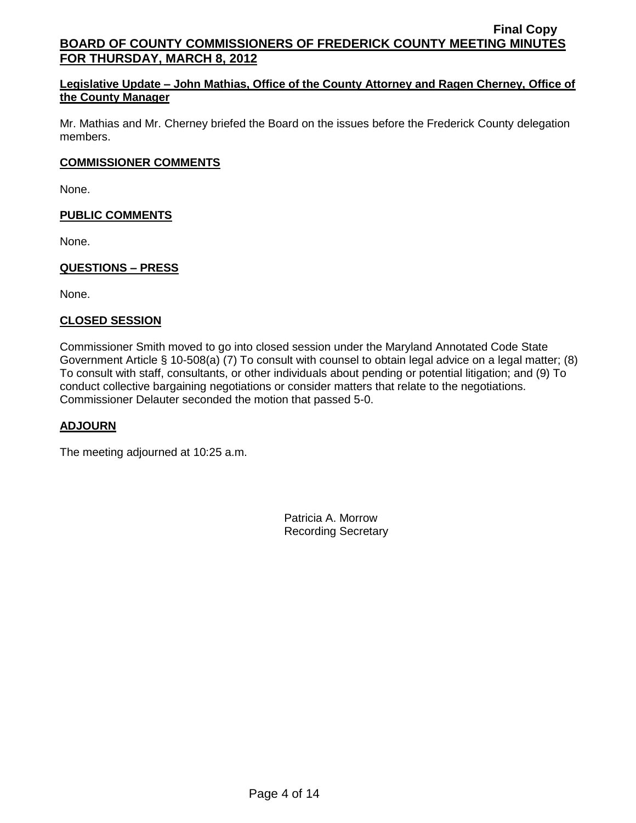### **Legislative Update – John Mathias, Office of the County Attorney and Ragen Cherney, Office of the County Manager**

Mr. Mathias and Mr. Cherney briefed the Board on the issues before the Frederick County delegation members.

### **COMMISSIONER COMMENTS**

None.

### **PUBLIC COMMENTS**

None.

## **QUESTIONS – PRESS**

None.

### **CLOSED SESSION**

Commissioner Smith moved to go into closed session under the Maryland Annotated Code State Government Article § 10-508(a) (7) To consult with counsel to obtain legal advice on a legal matter; (8) To consult with staff, consultants, or other individuals about pending or potential litigation; and (9) To conduct collective bargaining negotiations or consider matters that relate to the negotiations. Commissioner Delauter seconded the motion that passed 5-0.

### **ADJOURN**

The meeting adjourned at 10:25 a.m.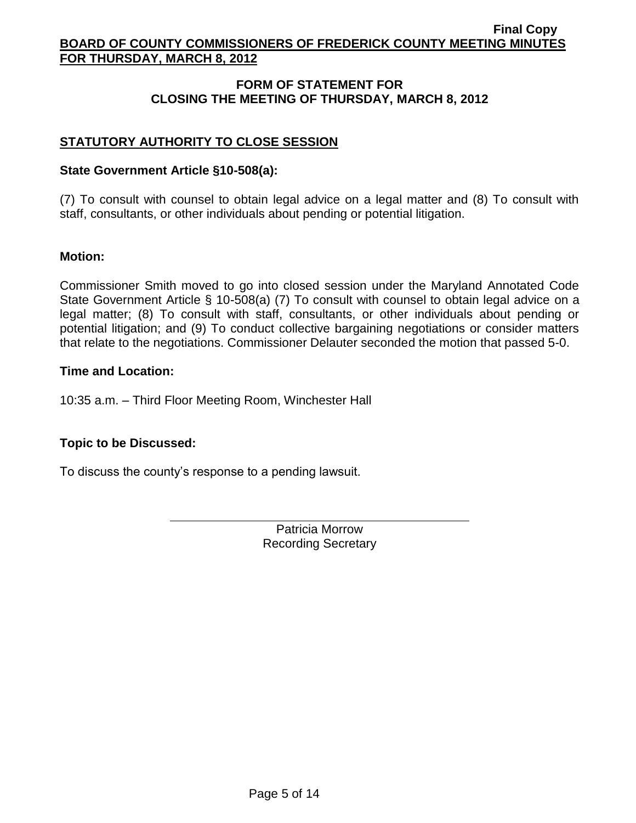# **FORM OF STATEMENT FOR CLOSING THE MEETING OF THURSDAY, MARCH 8, 2012**

# **STATUTORY AUTHORITY TO CLOSE SESSION**

## **State Government Article §10-508(a):**

(7) To consult with counsel to obtain legal advice on a legal matter and (8) To consult with staff, consultants, or other individuals about pending or potential litigation.

## **Motion:**

Commissioner Smith moved to go into closed session under the Maryland Annotated Code State Government Article § 10-508(a) (7) To consult with counsel to obtain legal advice on a legal matter; (8) To consult with staff, consultants, or other individuals about pending or potential litigation; and (9) To conduct collective bargaining negotiations or consider matters that relate to the negotiations. Commissioner Delauter seconded the motion that passed 5-0.

## **Time and Location:**

10:35 a.m. – Third Floor Meeting Room, Winchester Hall

# **Topic to be Discussed:**

To discuss the county's response to a pending lawsuit.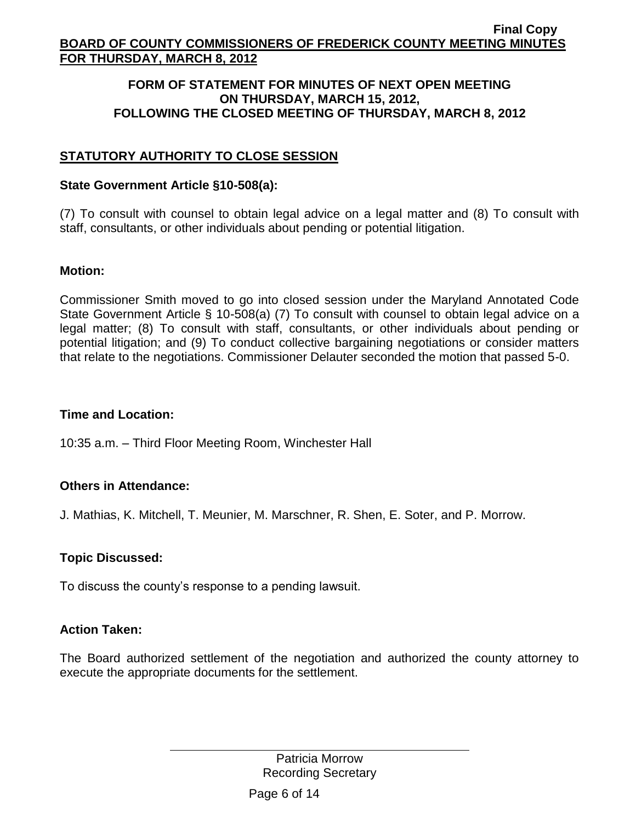## **FORM OF STATEMENT FOR MINUTES OF NEXT OPEN MEETING ON THURSDAY, MARCH 15, 2012, FOLLOWING THE CLOSED MEETING OF THURSDAY, MARCH 8, 2012**

# **STATUTORY AUTHORITY TO CLOSE SESSION**

## **State Government Article §10-508(a):**

(7) To consult with counsel to obtain legal advice on a legal matter and (8) To consult with staff, consultants, or other individuals about pending or potential litigation.

## **Motion:**

Commissioner Smith moved to go into closed session under the Maryland Annotated Code State Government Article § 10-508(a) (7) To consult with counsel to obtain legal advice on a legal matter; (8) To consult with staff, consultants, or other individuals about pending or potential litigation; and (9) To conduct collective bargaining negotiations or consider matters that relate to the negotiations. Commissioner Delauter seconded the motion that passed 5-0.

# **Time and Location:**

10:35 a.m. – Third Floor Meeting Room, Winchester Hall

# **Others in Attendance:**

J. Mathias, K. Mitchell, T. Meunier, M. Marschner, R. Shen, E. Soter, and P. Morrow.

# **Topic Discussed:**

To discuss the county's response to a pending lawsuit.

# **Action Taken:**

The Board authorized settlement of the negotiation and authorized the county attorney to execute the appropriate documents for the settlement.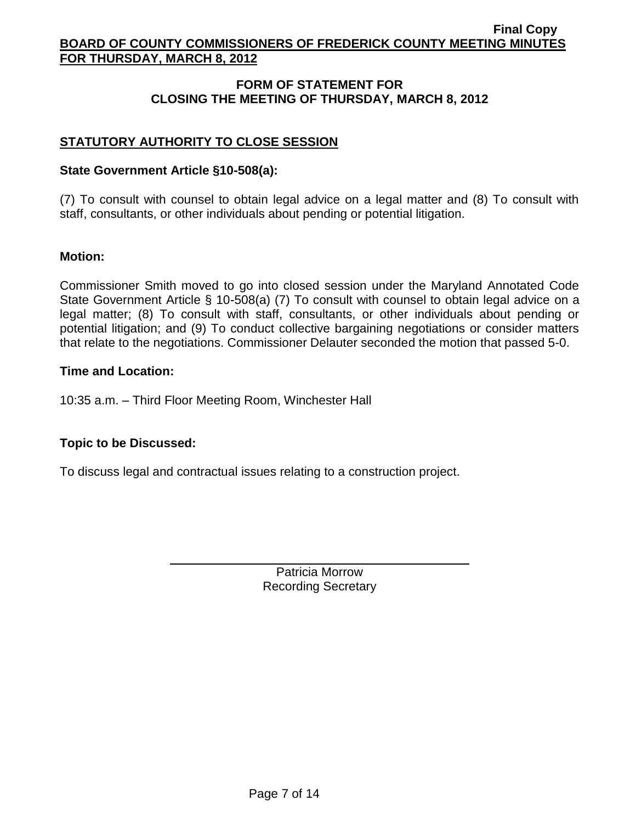# **FORM OF STATEMENT FOR CLOSING THE MEETING OF THURSDAY, MARCH 8, 2012**

# **STATUTORY AUTHORITY TO CLOSE SESSION**

## **State Government Article §10-508(a):**

(7) To consult with counsel to obtain legal advice on a legal matter and (8) To consult with staff, consultants, or other individuals about pending or potential litigation.

## **Motion:**

Commissioner Smith moved to go into closed session under the Maryland Annotated Code State Government Article § 10-508(a) (7) To consult with counsel to obtain legal advice on a legal matter; (8) To consult with staff, consultants, or other individuals about pending or potential litigation; and (9) To conduct collective bargaining negotiations or consider matters that relate to the negotiations. Commissioner Delauter seconded the motion that passed 5-0.

## **Time and Location:**

10:35 a.m. – Third Floor Meeting Room, Winchester Hall

# **Topic to be Discussed:**

To discuss legal and contractual issues relating to a construction project.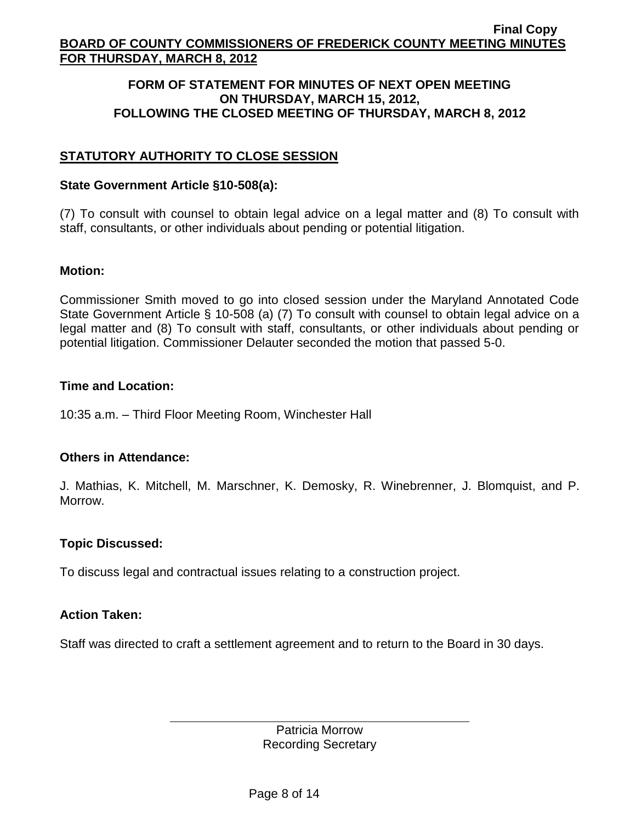## **FORM OF STATEMENT FOR MINUTES OF NEXT OPEN MEETING ON THURSDAY, MARCH 15, 2012, FOLLOWING THE CLOSED MEETING OF THURSDAY, MARCH 8, 2012**

# **STATUTORY AUTHORITY TO CLOSE SESSION**

### **State Government Article §10-508(a):**

(7) To consult with counsel to obtain legal advice on a legal matter and (8) To consult with staff, consultants, or other individuals about pending or potential litigation.

## **Motion:**

Commissioner Smith moved to go into closed session under the Maryland Annotated Code State Government Article § 10-508 (a) (7) To consult with counsel to obtain legal advice on a legal matter and (8) To consult with staff, consultants, or other individuals about pending or potential litigation. Commissioner Delauter seconded the motion that passed 5-0.

## **Time and Location:**

10:35 a.m. – Third Floor Meeting Room, Winchester Hall

# **Others in Attendance:**

J. Mathias, K. Mitchell, M. Marschner, K. Demosky, R. Winebrenner, J. Blomquist, and P. Morrow.

# **Topic Discussed:**

To discuss legal and contractual issues relating to a construction project.

### **Action Taken:**

Staff was directed to craft a settlement agreement and to return to the Board in 30 days.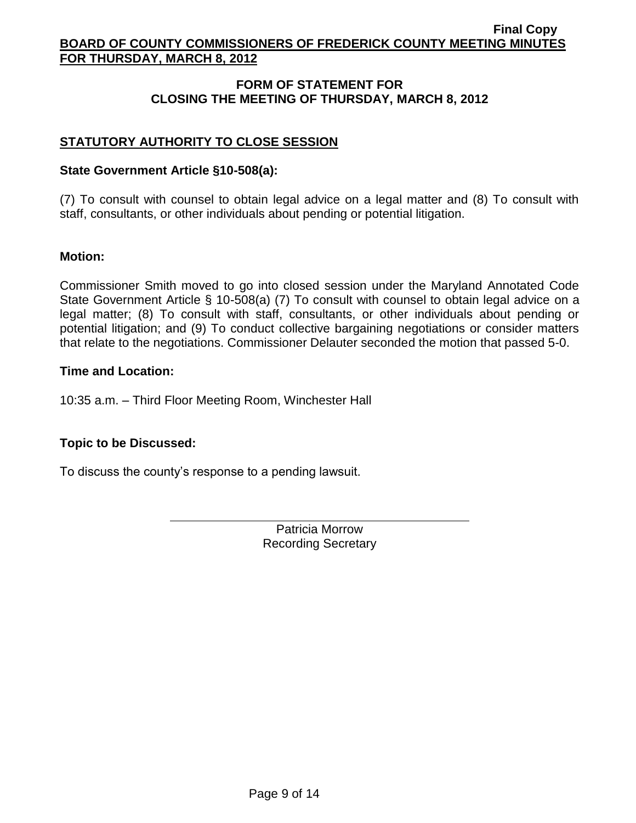# **FORM OF STATEMENT FOR CLOSING THE MEETING OF THURSDAY, MARCH 8, 2012**

# **STATUTORY AUTHORITY TO CLOSE SESSION**

## **State Government Article §10-508(a):**

(7) To consult with counsel to obtain legal advice on a legal matter and (8) To consult with staff, consultants, or other individuals about pending or potential litigation.

## **Motion:**

Commissioner Smith moved to go into closed session under the Maryland Annotated Code State Government Article § 10-508(a) (7) To consult with counsel to obtain legal advice on a legal matter; (8) To consult with staff, consultants, or other individuals about pending or potential litigation; and (9) To conduct collective bargaining negotiations or consider matters that relate to the negotiations. Commissioner Delauter seconded the motion that passed 5-0.

## **Time and Location:**

10:35 a.m. – Third Floor Meeting Room, Winchester Hall

# **Topic to be Discussed:**

To discuss the county's response to a pending lawsuit.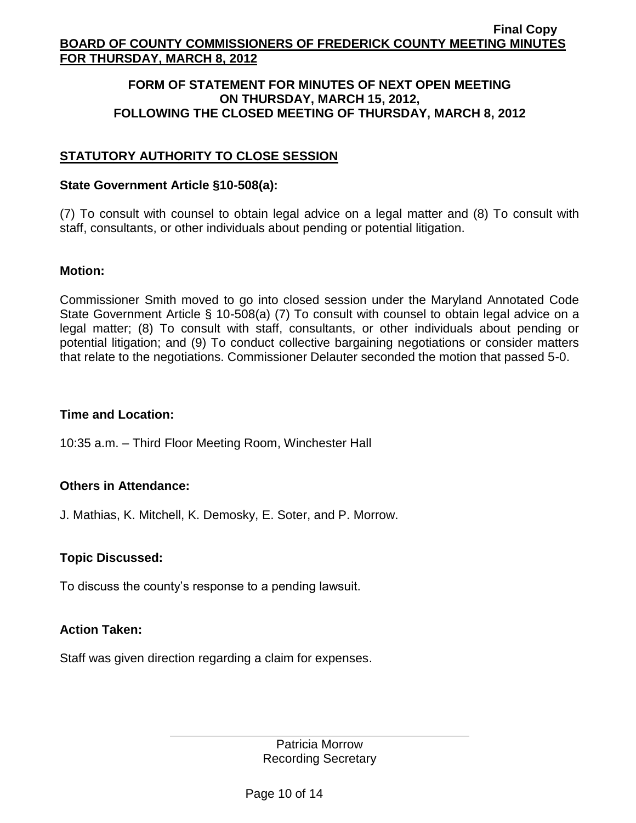## **FORM OF STATEMENT FOR MINUTES OF NEXT OPEN MEETING ON THURSDAY, MARCH 15, 2012, FOLLOWING THE CLOSED MEETING OF THURSDAY, MARCH 8, 2012**

# **STATUTORY AUTHORITY TO CLOSE SESSION**

### **State Government Article §10-508(a):**

(7) To consult with counsel to obtain legal advice on a legal matter and (8) To consult with staff, consultants, or other individuals about pending or potential litigation.

## **Motion:**

Commissioner Smith moved to go into closed session under the Maryland Annotated Code State Government Article § 10-508(a) (7) To consult with counsel to obtain legal advice on a legal matter; (8) To consult with staff, consultants, or other individuals about pending or potential litigation; and (9) To conduct collective bargaining negotiations or consider matters that relate to the negotiations. Commissioner Delauter seconded the motion that passed 5-0.

# **Time and Location:**

10:35 a.m. – Third Floor Meeting Room, Winchester Hall

# **Others in Attendance:**

J. Mathias, K. Mitchell, K. Demosky, E. Soter, and P. Morrow.

# **Topic Discussed:**

To discuss the county's response to a pending lawsuit.

### **Action Taken:**

Staff was given direction regarding a claim for expenses.

Patricia Morrow Recording Secretary

Page 10 of 14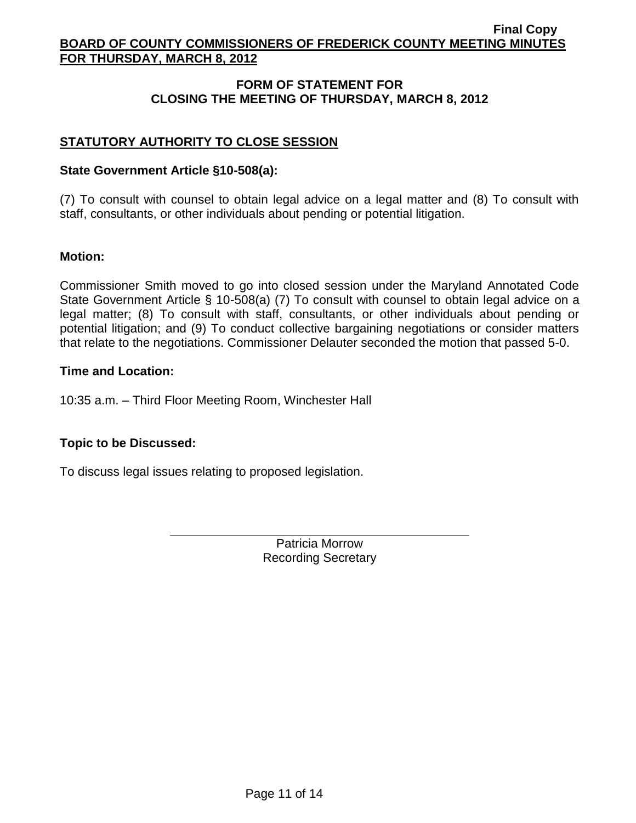# **FORM OF STATEMENT FOR CLOSING THE MEETING OF THURSDAY, MARCH 8, 2012**

# **STATUTORY AUTHORITY TO CLOSE SESSION**

## **State Government Article §10-508(a):**

(7) To consult with counsel to obtain legal advice on a legal matter and (8) To consult with staff, consultants, or other individuals about pending or potential litigation.

## **Motion:**

Commissioner Smith moved to go into closed session under the Maryland Annotated Code State Government Article § 10-508(a) (7) To consult with counsel to obtain legal advice on a legal matter; (8) To consult with staff, consultants, or other individuals about pending or potential litigation; and (9) To conduct collective bargaining negotiations or consider matters that relate to the negotiations. Commissioner Delauter seconded the motion that passed 5-0.

## **Time and Location:**

10:35 a.m. – Third Floor Meeting Room, Winchester Hall

# **Topic to be Discussed:**

To discuss legal issues relating to proposed legislation.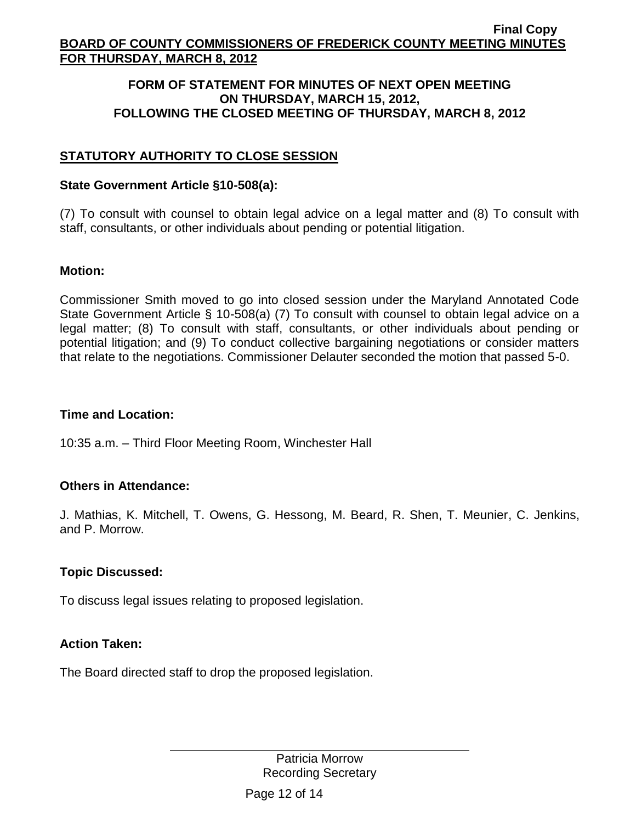## **FORM OF STATEMENT FOR MINUTES OF NEXT OPEN MEETING ON THURSDAY, MARCH 15, 2012, FOLLOWING THE CLOSED MEETING OF THURSDAY, MARCH 8, 2012**

# **STATUTORY AUTHORITY TO CLOSE SESSION**

## **State Government Article §10-508(a):**

(7) To consult with counsel to obtain legal advice on a legal matter and (8) To consult with staff, consultants, or other individuals about pending or potential litigation.

## **Motion:**

Commissioner Smith moved to go into closed session under the Maryland Annotated Code State Government Article § 10-508(a) (7) To consult with counsel to obtain legal advice on a legal matter; (8) To consult with staff, consultants, or other individuals about pending or potential litigation; and (9) To conduct collective bargaining negotiations or consider matters that relate to the negotiations. Commissioner Delauter seconded the motion that passed 5-0.

# **Time and Location:**

10:35 a.m. – Third Floor Meeting Room, Winchester Hall

# **Others in Attendance:**

J. Mathias, K. Mitchell, T. Owens, G. Hessong, M. Beard, R. Shen, T. Meunier, C. Jenkins, and P. Morrow.

# **Topic Discussed:**

To discuss legal issues relating to proposed legislation.

# **Action Taken:**

The Board directed staff to drop the proposed legislation.

Patricia Morrow Recording Secretary

Page 12 of 14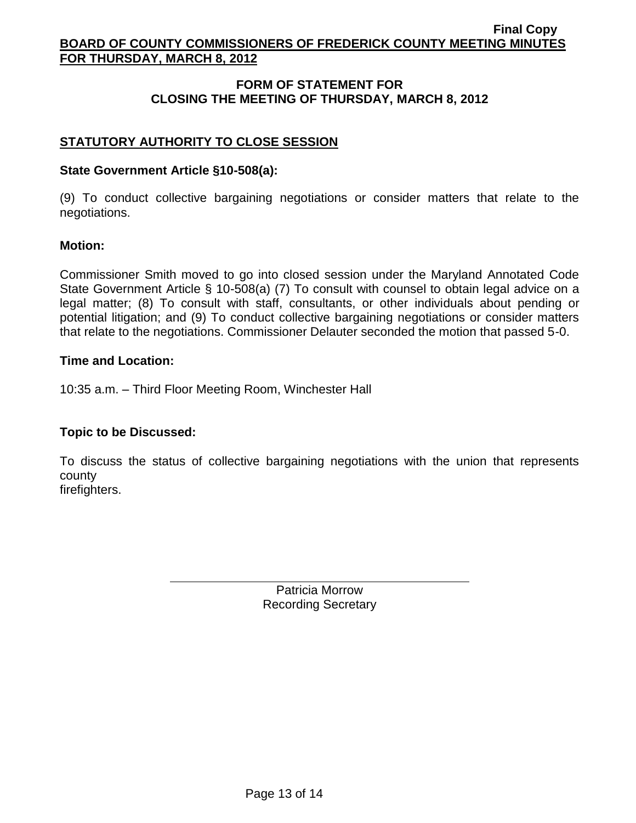# **FORM OF STATEMENT FOR CLOSING THE MEETING OF THURSDAY, MARCH 8, 2012**

# **STATUTORY AUTHORITY TO CLOSE SESSION**

## **State Government Article §10-508(a):**

(9) To conduct collective bargaining negotiations or consider matters that relate to the negotiations.

## **Motion:**

Commissioner Smith moved to go into closed session under the Maryland Annotated Code State Government Article § 10-508(a) (7) To consult with counsel to obtain legal advice on a legal matter; (8) To consult with staff, consultants, or other individuals about pending or potential litigation; and (9) To conduct collective bargaining negotiations or consider matters that relate to the negotiations. Commissioner Delauter seconded the motion that passed 5-0.

## **Time and Location:**

10:35 a.m. – Third Floor Meeting Room, Winchester Hall

# **Topic to be Discussed:**

To discuss the status of collective bargaining negotiations with the union that represents county firefighters.